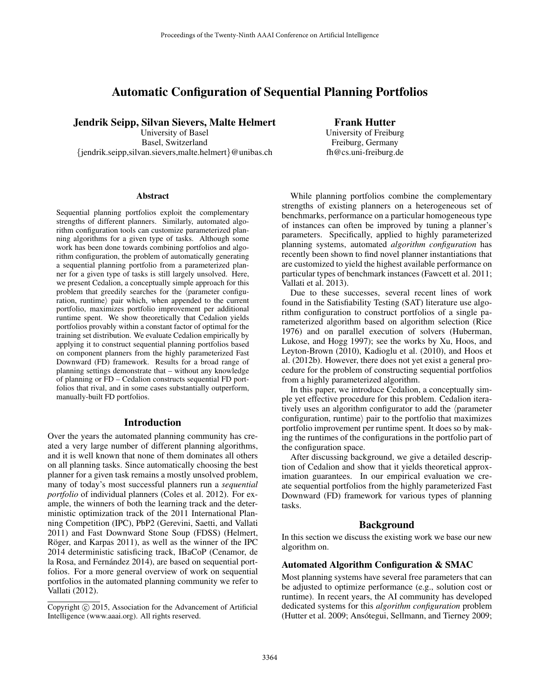# Automatic Configuration of Sequential Planning Portfolios

## Jendrik Seipp, Silvan Sievers, Malte Helmert

University of Basel Basel, Switzerland {jendrik.seipp,silvan.sievers,malte.helmert}@unibas.ch

### Frank Hutter

University of Freiburg Freiburg, Germany fh@cs.uni-freiburg.de

#### Abstract

Sequential planning portfolios exploit the complementary strengths of different planners. Similarly, automated algorithm configuration tools can customize parameterized planning algorithms for a given type of tasks. Although some work has been done towards combining portfolios and algorithm configuration, the problem of automatically generating a sequential planning portfolio from a parameterized planner for a given type of tasks is still largely unsolved. Here, we present Cedalion, a conceptually simple approach for this problem that greedily searches for the  $\langle$  parameter configuration, runtime) pair which, when appended to the current portfolio, maximizes portfolio improvement per additional runtime spent. We show theoretically that Cedalion yields portfolios provably within a constant factor of optimal for the training set distribution. We evaluate Cedalion empirically by applying it to construct sequential planning portfolios based on component planners from the highly parameterized Fast Downward (FD) framework. Results for a broad range of planning settings demonstrate that – without any knowledge of planning or FD – Cedalion constructs sequential FD portfolios that rival, and in some cases substantially outperform, manually-built FD portfolios.

#### Introduction

Over the years the automated planning community has created a very large number of different planning algorithms, and it is well known that none of them dominates all others on all planning tasks. Since automatically choosing the best planner for a given task remains a mostly unsolved problem, many of today's most successful planners run a *sequential portfolio* of individual planners (Coles et al. 2012). For example, the winners of both the learning track and the deterministic optimization track of the 2011 International Planning Competition (IPC), PbP2 (Gerevini, Saetti, and Vallati 2011) and Fast Downward Stone Soup (FDSS) (Helmert, Röger, and Karpas 2011), as well as the winner of the IPC 2014 deterministic satisficing track, IBaCoP (Cenamor, de la Rosa, and Fernández 2014), are based on sequential portfolios. For a more general overview of work on sequential portfolios in the automated planning community we refer to Vallati (2012).

While planning portfolios combine the complementary strengths of existing planners on a heterogeneous set of benchmarks, performance on a particular homogeneous type of instances can often be improved by tuning a planner's parameters. Specifically, applied to highly parameterized planning systems, automated *algorithm configuration* has recently been shown to find novel planner instantiations that are customized to yield the highest available performance on particular types of benchmark instances (Fawcett et al. 2011; Vallati et al. 2013).

Due to these successes, several recent lines of work found in the Satisfiability Testing (SAT) literature use algorithm configuration to construct portfolios of a single parameterized algorithm based on algorithm selection (Rice 1976) and on parallel execution of solvers (Huberman, Lukose, and Hogg 1997); see the works by Xu, Hoos, and Leyton-Brown (2010), Kadioglu et al. (2010), and Hoos et al. (2012b). However, there does not yet exist a general procedure for the problem of constructing sequential portfolios from a highly parameterized algorithm.

In this paper, we introduce Cedalion, a conceptually simple yet effective procedure for this problem. Cedalion iteratively uses an algorithm configurator to add the  $\eta$  arameter configuration, runtime  $\alpha$  pair to the portfolio that maximizes portfolio improvement per runtime spent. It does so by making the runtimes of the configurations in the portfolio part of the configuration space.

After discussing background, we give a detailed description of Cedalion and show that it yields theoretical approximation guarantees. In our empirical evaluation we create sequential portfolios from the highly parameterized Fast Downward (FD) framework for various types of planning tasks.

### Background

In this section we discuss the existing work we base our new algorithm on.

#### Automated Algorithm Configuration & SMAC

Most planning systems have several free parameters that can be adjusted to optimize performance (e.g., solution cost or runtime). In recent years, the AI community has developed dedicated systems for this *algorithm configuration* problem (Hutter et al. 2009; Ansótegui, Sellmann, and Tierney 2009;

Copyright (c) 2015, Association for the Advancement of Artificial Intelligence (www.aaai.org). All rights reserved.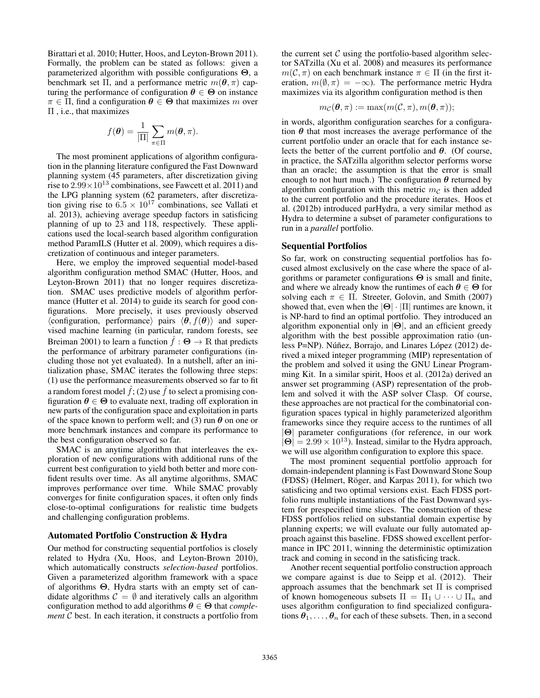Birattari et al. 2010; Hutter, Hoos, and Leyton-Brown 2011). Formally, the problem can be stated as follows: given a parameterized algorithm with possible configurations Θ, a benchmark set Π, and a performance metric  $m(\theta, \pi)$  capturing the performance of configuration  $\theta \in \Theta$  on instance  $\pi \in \Pi$ , find a configuration  $\theta \in \Theta$  that maximizes m over Π , i.e., that maximizes

$$
f(\boldsymbol{\theta}) = \frac{1}{|\Pi|} \sum_{\pi \in \Pi} m(\boldsymbol{\theta}, \pi).
$$

The most prominent applications of algorithm configuration in the planning literature configured the Fast Downward planning system (45 parameters, after discretization giving rise to  $2.99 \times 10^{13}$  combinations, see Fawcett et al. 2011) and the LPG planning system (62 parameters, after discretization giving rise to  $6.5 \times 10^{17}$  combinations, see Vallati et al. 2013), achieving average speedup factors in satisficing planning of up to 23 and 118, respectively. These applications used the local-search based algorithm configuration method ParamILS (Hutter et al. 2009), which requires a discretization of continuous and integer parameters.

Here, we employ the improved sequential model-based algorithm configuration method SMAC (Hutter, Hoos, and Leyton-Brown 2011) that no longer requires discretization. SMAC uses predictive models of algorithm performance (Hutter et al. 2014) to guide its search for good configurations. More precisely, it uses previously observed  $\langle$ configuration, performance $\rangle$  pairs  $\langle \theta, f(\theta) \rangle$  and supervised machine learning (in particular, random forests, see Breiman 2001) to learn a function  $\hat{f}: \Theta \to \mathbb{R}$  that predicts the performance of arbitrary parameter configurations (including those not yet evaluated). In a nutshell, after an initialization phase, SMAC iterates the following three steps: (1) use the performance measurements observed so far to fit a random forest model  $\hat{f}$ ; (2) use  $\hat{f}$  to select a promising configuration  $\theta \in \Theta$  to evaluate next, trading off exploration in new parts of the configuration space and exploitation in parts of the space known to perform well; and (3) run  $\theta$  on one or more benchmark instances and compare its performance to the best configuration observed so far.

SMAC is an anytime algorithm that interleaves the exploration of new configurations with additional runs of the current best configuration to yield both better and more confident results over time. As all anytime algorithms, SMAC improves performance over time. While SMAC provably converges for finite configuration spaces, it often only finds close-to-optimal configurations for realistic time budgets and challenging configuration problems.

#### Automated Portfolio Construction & Hydra

Our method for constructing sequential portfolios is closely related to Hydra (Xu, Hoos, and Leyton-Brown 2010), which automatically constructs *selection-based* portfolios. Given a parameterized algorithm framework with a space of algorithms Θ, Hydra starts with an empty set of candidate algorithms  $C = \emptyset$  and iteratively calls an algorithm configuration method to add algorithms  $\theta \in \Theta$  that *complement* C best. In each iteration, it constructs a portfolio from

the current set  $\mathcal C$  using the portfolio-based algorithm selector SATzilla (Xu et al. 2008) and measures its performance  $m(\mathcal{C}, \pi)$  on each benchmark instance  $\pi \in \Pi$  (in the first iteration,  $m(\emptyset, \pi) = -\infty$ ). The performance metric Hydra maximizes via its algorithm configuration method is then

$$
m_{\mathcal{C}}(\boldsymbol{\theta},\pi):=\max(m(\mathcal{C},\pi),m(\boldsymbol{\theta},\pi));
$$

in words, algorithm configuration searches for a configuration  $\theta$  that most increases the average performance of the current portfolio under an oracle that for each instance selects the better of the current portfolio and  $\theta$ . (Of course, in practice, the SATzilla algorithm selector performs worse than an oracle; the assumption is that the error is small enough to not hurt much.) The configuration  $\theta$  returned by algorithm configuration with this metric  $m<sub>C</sub>$  is then added to the current portfolio and the procedure iterates. Hoos et al. (2012b) introduced parHydra, a very similar method as Hydra to determine a subset of parameter configurations to run in a *parallel* portfolio.

#### Sequential Portfolios

So far, work on constructing sequential portfolios has focused almost exclusively on the case where the space of algorithms or parameter configurations  $\Theta$  is small and finite, and where we already know the runtimes of each  $\theta \in \Theta$  for solving each  $\pi \in \Pi$ . Streeter, Golovin, and Smith (2007) showed that, even when the  $|\Theta| \cdot |\Pi|$  runtimes are known, it is NP-hard to find an optimal portfolio. They introduced an algorithm exponential only in  $|\Theta|$ , and an efficient greedy algorithm with the best possible approximation ratio (unless P $=$ NP). Núñez, Borrajo, and Linares López (2012) derived a mixed integer programming (MIP) representation of the problem and solved it using the GNU Linear Programming Kit. In a similar spirit, Hoos et al. (2012a) derived an answer set programming (ASP) representation of the problem and solved it with the ASP solver Clasp. Of course, these approaches are not practical for the combinatorial configuration spaces typical in highly parameterized algorithm frameworks since they require access to the runtimes of all |Θ| parameter configurations (for reference, in our work  $|\mathbf{\Theta}| = 2.99 \times 10^{13}$ ). Instead, similar to the Hydra approach, we will use algorithm configuration to explore this space.

The most prominent sequential portfolio approach for domain-independent planning is Fast Downward Stone Soup (FDSS) (Helmert, Röger, and Karpas 2011), for which two satisficing and two optimal versions exist. Each FDSS portfolio runs multiple instantiations of the Fast Downward system for prespecified time slices. The construction of these FDSS portfolios relied on substantial domain expertise by planning experts; we will evaluate our fully automated approach against this baseline. FDSS showed excellent performance in IPC 2011, winning the deterministic optimization track and coming in second in the satisficing track.

Another recent sequential portfolio construction approach we compare against is due to Seipp et al. (2012). Their approach assumes that the benchmark set Π is comprised of known homogeneous subsets  $\Pi = \Pi_1 \cup \cdots \cup \Pi_n$  and uses algorithm configuration to find specialized configurations  $\theta_1, \ldots, \theta_n$  for each of these subsets. Then, in a second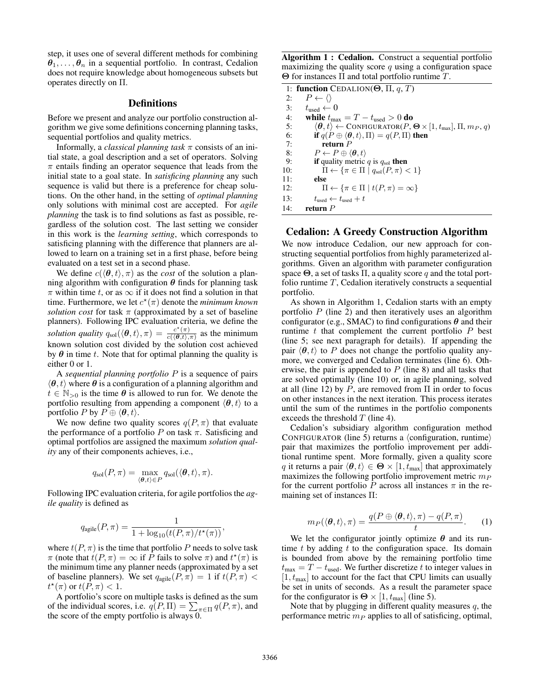step, it uses one of several different methods for combining  $\theta_1, \ldots, \theta_n$  in a sequential portfolio. In contrast, Cedalion does not require knowledge about homogeneous subsets but operates directly on Π.

## **Definitions**

Before we present and analyze our portfolio construction algorithm we give some definitions concerning planning tasks, sequential portfolios and quality metrics.

Informally, a *classical planning task* π consists of an initial state, a goal description and a set of operators. Solving  $\pi$  entails finding an operator sequence that leads from the initial state to a goal state. In *satisficing planning* any such sequence is valid but there is a preference for cheap solutions. On the other hand, in the setting of *optimal planning* only solutions with minimal cost are accepted. For *agile planning* the task is to find solutions as fast as possible, regardless of the solution cost. The last setting we consider in this work is the *learning setting*, which corresponds to satisficing planning with the difference that planners are allowed to learn on a training set in a first phase, before being evaluated on a test set in a second phase.

We define  $c(\langle \theta, t \rangle, \pi)$  as the *cost* of the solution a planning algorithm with configuration  $\theta$  finds for planning task  $\pi$  within time t, or as  $\infty$  if it does not find a solution in that time. Furthermore, we let  $c^*(\pi)$  denote the *minimum known solution cost* for task  $\pi$  (approximated by a set of baseline planners). Following IPC evaluation criteria, we define the *solution quality*  $q_{sol}(\langle \theta, t \rangle, \pi) = \frac{c^*(\pi)}{c(\langle \theta, t \rangle)}$  $\frac{c(\pi)}{c(\langle \theta, t \rangle, \pi)}$  as the minimum known solution cost divided by the solution cost achieved by  $\theta$  in time t. Note that for optimal planning the quality is either 0 or 1.

A *sequential planning portfolio* P is a sequence of pairs  $\langle \theta, t \rangle$  where  $\theta$  is a configuration of a planning algorithm and  $t \in \mathbb{N}_{>0}$  is the time  $\theta$  is allowed to run for. We denote the portfolio resulting from appending a component  $\langle \theta, t \rangle$  to a portfolio P by  $P \oplus \langle \theta, t \rangle$ .

We now define two quality scores  $q(P, \pi)$  that evaluate the performance of a portfolio P on task  $\pi$ . Satisficing and optimal portfolios are assigned the maximum *solution quality* any of their components achieves, i.e.,

$$
q_{\text{sol}}(P,\pi) = \max_{\langle \boldsymbol{\theta},t\rangle \in P} q_{\text{sol}}(\langle \boldsymbol{\theta},t\rangle,\pi).
$$

Following IPC evaluation criteria, for agile portfolios the *agile quality* is defined as

$$
q_{\text{agile}}(P,\pi) = \frac{1}{1 + \log_{10}(t(P,\pi)/t^{\star}(\pi))},
$$

where  $t(P, \pi)$  is the time that portfolio P needs to solve task  $\pi$  (note that  $t(P, \pi) = \infty$  if P fails to solve  $\pi$ ) and  $t^*(\pi)$  is the minimum time any planner needs (approximated by a set of baseline planners). We set  $q_{\text{agile}}(P, \pi) = 1$  if  $t(P, \pi) <$  $t^{\star}(\pi)$  or  $t(P,\pi) < 1$ .

A portfolio's score on multiple tasks is defined as the sum of the individual scores, i.e.  $q(P, \Pi) = \sum_{\pi \in \Pi} q(P, \pi)$ , and the score of the empty portfolio is always 0.

Algorithm 1 : Cedalion. Construct a sequential portfolio maximizing the quality score  $q$  using a configuration space Θ for instances Π and total portfolio runtime T.

|     | 1: function CEDALION( $\Theta$ , $\Pi$ , q, T)                                                                |  |  |  |  |  |
|-----|---------------------------------------------------------------------------------------------------------------|--|--|--|--|--|
| 2:  | $P \leftarrow \langle \rangle$                                                                                |  |  |  |  |  |
| 3:  | $t_{\text{used}} \leftarrow 0$                                                                                |  |  |  |  |  |
| 4:  | while $t_{\text{max}} = T - t_{\text{used}} > 0$ do                                                           |  |  |  |  |  |
| 5:  | $\langle \theta, t \rangle \leftarrow \text{CONFIGURATOR}(P, \Theta \times [1, t_{\text{max}}], \Pi, m_P, q)$ |  |  |  |  |  |
| 6:  | if $q(P \oplus \langle \theta, t \rangle, \Pi) = q(P, \Pi)$ then                                              |  |  |  |  |  |
| 7:  | return $P$                                                                                                    |  |  |  |  |  |
| 8:  | $P \leftarrow P \oplus \langle \boldsymbol{\theta}, t \rangle$                                                |  |  |  |  |  |
| 9:  | if quality metric $q$ is $q_{sol}$ then                                                                       |  |  |  |  |  |
| 10: | $\Pi \leftarrow {\pi \in \Pi   q_{sol}(P,\pi) < 1}$                                                           |  |  |  |  |  |
| 11: | else                                                                                                          |  |  |  |  |  |
| 12: | $\Pi \leftarrow {\pi \in \Pi   t(P,\pi) = \infty}$                                                            |  |  |  |  |  |
| 13: | $t_{used} \leftarrow t_{used} + t$                                                                            |  |  |  |  |  |
| 14: | return $P$                                                                                                    |  |  |  |  |  |

## Cedalion: A Greedy Construction Algorithm

We now introduce Cedalion, our new approach for constructing sequential portfolios from highly parameterized algorithms. Given an algorithm with parameter configuration space  $\Theta$ , a set of tasks  $\Pi$ , a quality score q and the total portfolio runtime  $T$ , Cedalion iteratively constructs a sequential portfolio.

As shown in Algorithm 1, Cedalion starts with an empty portfolio  $P$  (line 2) and then iteratively uses an algorithm configurator (e.g., SMAC) to find configurations  $\theta$  and their runtime  $t$  that complement the current portfolio  $P$  best (line 5; see next paragraph for details). If appending the pair  $\langle \theta, t \rangle$  to P does not change the portfolio quality anymore, we converged and Cedalion terminates (line 6). Otherwise, the pair is appended to  $P$  (line 8) and all tasks that are solved optimally (line 10) or, in agile planning, solved at all (line 12) by P, are removed from  $\Pi$  in order to focus on other instances in the next iteration. This process iterates until the sum of the runtimes in the portfolio components exceeds the threshold  $T$  (line 4).

Cedalion's subsidiary algorithm configuration method CONFIGURATOR (line 5) returns a  $\langle$  configuration, runtime $\rangle$ pair that maximizes the portfolio improvement per additional runtime spent. More formally, given a quality score q it returns a pair  $\langle \theta, t \rangle \in \Theta \times [1, t_{\text{max}}]$  that approximately maximizes the following portfolio improvement metric  $m_P$ for the current portfolio P across all instances  $\pi$  in the remaining set of instances Π:

$$
m_P(\langle \boldsymbol{\theta}, t \rangle, \pi) = \frac{q(P \oplus \langle \boldsymbol{\theta}, t \rangle, \pi) - q(P, \pi)}{t}.
$$
 (1)

We let the configurator jointly optimize  $\theta$  and its runtime  $t$  by adding  $t$  to the configuration space. Its domain is bounded from above by the remaining portfolio time  $t_{\text{max}} = T - t_{\text{used}}$ . We further discretize t to integer values in  $[1, t_{\text{max}}]$  to account for the fact that CPU limits can usually be set in units of seconds. As a result the parameter space for the configurator is  $\Theta \times [1, t_{\text{max}}]$  (line 5).

Note that by plugging in different quality measures  $q$ , the performance metric  $m_P$  applies to all of satisficing, optimal,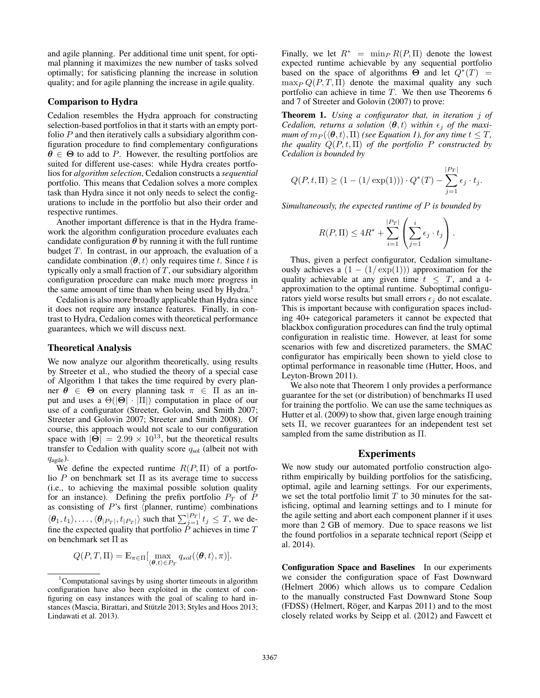and agile planning. Per additional time unit spent, for optimal planning it maximizes the new number of tasks solved optimally; for satisficing planning the increase in solution quality; and for agile planning the increase in agile quality.

#### Comparison to Hydra

Cedalion resembles the Hydra approach for constructing selection-based portfolios in that it starts with an empty portfolio  $P$  and then iteratively calls a subsidiary algorithm configuration procedure to find complementary configurations  $\theta \in \Theta$  to add to P. However, the resulting portfolios are suited for different use-cases: while Hydra creates portfolios for *algorithm selection*, Cedalion constructs a *sequential* portfolio. This means that Cedalion solves a more complex task than Hydra since it not only needs to select the configurations to include in the portfolio but also their order and respective runtimes.

Another important difference is that in the Hydra framework the algorithm configuration procedure evaluates each candidate configuration  $\theta$  by running it with the full runtime budget  $T$ . In contrast, in our approach, the evaluation of a candidate combination  $\langle \theta, t \rangle$  only requires time t. Since t is typically only a small fraction of  $T$ , our subsidiary algorithm configuration procedure can make much more progress in the same amount of time than when being used by Hydra.<sup>1</sup>

Cedalion is also more broadly applicable than Hydra since it does not require any instance features. Finally, in contrast to Hydra, Cedalion comes with theoretical performance guarantees, which we will discuss next.

#### Theoretical Analysis

We now analyze our algorithm theoretically, using results by Streeter et al., who studied the theory of a special case of Algorithm 1 that takes the time required by every planner  $\theta \in \Theta$  on every planning task  $\pi \in \Pi$  as an input and uses a  $\Theta(|\Theta| \cdot |\Pi|)$  computation in place of our use of a configurator (Streeter, Golovin, and Smith 2007; Streeter and Golovin 2007; Streeter and Smith 2008). Of course, this approach would not scale to our configuration space with  $|\hat{\Theta}| = 2.99 \times 10^{13}$ , but the theoretical results transfer to Cedalion with quality score  $q_{sol}$  (albeit not with  $q_{\text{agile}}$ ).

We define the expected runtime  $R(P,\Pi)$  of a portfolio P on benchmark set  $\Pi$  as its average time to success (i.e., to achieving the maximal possible solution quality for an instance). Defining the prefix portfolio  $P_T$  of P as consisting of  $P$ 's first (planner, runtime) combinations  $\langle \theta_1, t_1 \rangle, \ldots, \langle \theta_{|P_T|}, t_{|P_T|} \rangle$  such that  $\sum_{j=1}^{|P_T|} t_j \leq T$ , we define the expected quality that portfolio  $\dot{P}$  achieves in time  $T$ on benchmark set Π as

$$
Q(P,T,\Pi) = \mathbb{E}_{\pi \in \Pi} \left[ \max_{(\boldsymbol{\theta},t) \in P_T} q_{sol}(\langle \boldsymbol{\theta},t \rangle, \pi) \right].
$$

Finally, we let  $R^* = \min_P R(P, \Pi)$  denote the lowest expected runtime achievable by any sequential portfolio based on the space of algorithms  $\Theta$  and let  $Q^*(T) =$  $\max_P Q(P, T, \Pi)$  denote the maximal quality any such portfolio can achieve in time T. We then use Theorems 6 and 7 of Streeter and Golovin (2007) to prove:

Theorem 1. *Using a configurator that, in iteration* j *of Cedalion, returns a solution*  $\langle \theta, t \rangle$  *within*  $\epsilon_i$  *of the maximum of*  $m_P(\langle \theta, t \rangle, \Pi)$  *(see Equation 1), for any time*  $t \leq T$ *, the quality*  $Q(P, t, \Pi)$  *of the portfolio* P *constructed by Cedalion is bounded by*

$$
Q(P, t, \Pi) \ge (1 - (1/\exp(1))) \cdot Q^*(T) - \sum_{j=1}^{|P_T|} \epsilon_j \cdot t_j.
$$

*Simultaneously, the expected runtime of* P *is bounded by*

$$
R(P,\Pi) \le 4R^* + \sum_{i=1}^{|P_T|} \left( \sum_{j=1}^i \epsilon_j \cdot t_j \right).
$$

Thus, given a perfect configurator, Cedalion simultaneously achieves a  $(1 - (1/\exp(1)))$  approximation for the quality achievable at any given time  $t \leq T$ , and a 4approximation to the optimal runtime. Suboptimal configurators yield worse results but small errors  $\epsilon_i$  do not escalate. This is important because with configuration spaces including 40+ categorical parameters it cannot be expected that blackbox configuration procedures can find the truly optimal configuration in realistic time. However, at least for some scenarios with few and discretized parameters, the SMAC configurator has empirically been shown to yield close to optimal performance in reasonable time (Hutter, Hoos, and Leyton-Brown 2011).

We also note that Theorem 1 only provides a performance guarantee for the set (or distribution) of benchmarks Π used for training the portfolio. We can use the same techniques as Hutter et al. (2009) to show that, given large enough training sets Π, we recover guarantees for an independent test set sampled from the same distribution as Π.

#### Experiments

We now study our automated portfolio construction algorithm empirically by building portfolios for the satisficing, optimal, agile and learning settings. For our experiments, we set the total portfolio limit  $T$  to 30 minutes for the satisficing, optimal and learning settings and to 1 minute for the agile setting and abort each component planner if it uses more than 2 GB of memory. Due to space reasons we list the found portfolios in a separate technical report (Seipp et al. 2014).

Configuration Space and Baselines In our experiments we consider the configuration space of Fast Downward (Helmert 2006) which allows us to compare Cedalion to the manually constructed Fast Downward Stone Soup (FDSS) (Helmert, Röger, and Karpas 2011) and to the most closely related works by Seipp et al. (2012) and Fawcett et

 $1$ Computational savings by using shorter timeouts in algorithm configuration have also been exploited in the context of configuring on easy instances with the goal of scaling to hard instances (Mascia, Birattari, and Stützle 2013; Styles and Hoos 2013; Lindawati et al. 2013).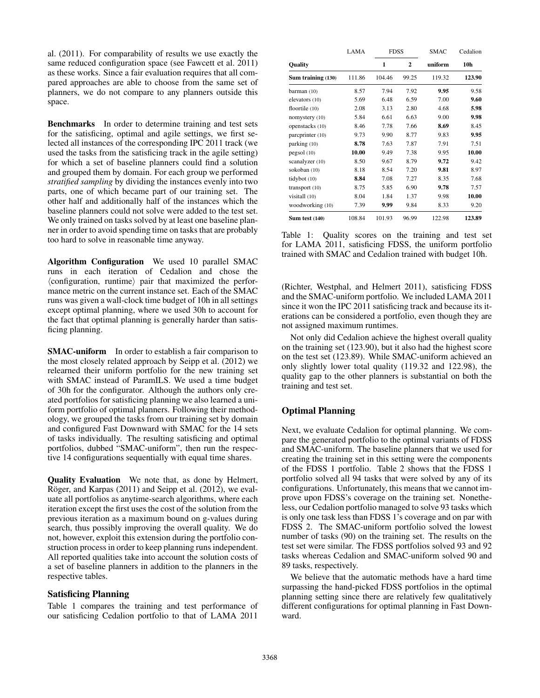al. (2011). For comparability of results we use exactly the same reduced configuration space (see Fawcett et al. 2011) as these works. Since a fair evaluation requires that all compared approaches are able to choose from the same set of planners, we do not compare to any planners outside this space.

Benchmarks In order to determine training and test sets for the satisficing, optimal and agile settings, we first selected all instances of the corresponding IPC 2011 track (we used the tasks from the satisficing track in the agile setting) for which a set of baseline planners could find a solution and grouped them by domain. For each group we performed *stratified sampling* by dividing the instances evenly into two parts, one of which became part of our training set. The other half and additionally half of the instances which the baseline planners could not solve were added to the test set. We only trained on tasks solved by at least one baseline planner in order to avoid spending time on tasks that are probably too hard to solve in reasonable time anyway.

Algorithm Configuration We used 10 parallel SMAC runs in each iteration of Cedalion and chose the  $\langle$  configuration, runtime $\rangle$  pair that maximized the performance metric on the current instance set. Each of the SMAC runs was given a wall-clock time budget of 10h in all settings except optimal planning, where we used 30h to account for the fact that optimal planning is generally harder than satisficing planning.

SMAC-uniform In order to establish a fair comparison to the most closely related approach by Seipp et al. (2012) we relearned their uniform portfolio for the new training set with SMAC instead of ParamILS. We used a time budget of 30h for the configurator. Although the authors only created portfolios for satisficing planning we also learned a uniform portfolio of optimal planners. Following their methodology, we grouped the tasks from our training set by domain and configured Fast Downward with SMAC for the 14 sets of tasks individually. The resulting satisficing and optimal portfolios, dubbed "SMAC-uniform", then run the respective 14 configurations sequentially with equal time shares.

Quality Evaluation We note that, as done by Helmert, Röger, and Karpas (2011) and Seipp et al. (2012), we evaluate all portfolios as anytime-search algorithms, where each iteration except the first uses the cost of the solution from the previous iteration as a maximum bound on g-values during search, thus possibly improving the overall quality. We do not, however, exploit this extension during the portfolio construction process in order to keep planning runs independent. All reported qualities take into account the solution costs of a set of baseline planners in addition to the planners in the respective tables.

## Satisficing Planning

Table 1 compares the training and test performance of our satisficing Cedalion portfolio to that of LAMA 2011

|                    | LAMA   | <b>FDSS</b> |              |         | Cedalion        |
|--------------------|--------|-------------|--------------|---------|-----------------|
| <b>Ouality</b>     |        | 1           | $\mathbf{2}$ | uniform | 10 <sub>h</sub> |
| Sum training (130) | 111.86 | 104.46      | 99.25        | 119.32  | 123.90          |
| barman (10)        | 8.57   | 7.94        | 7.92         | 9.95    | 9.58            |
| elevators (10)     | 5.69   | 6.48        | 6.59         | 7.00    | 9.60            |
| floortile (10)     | 2.08   | 3.13        | 2.80         | 4.68    | 5.98            |
| nomystery (10)     | 5.84   | 6.61        | 6.63         | 9.00    | 9.98            |
| openstacks (10)    | 8.46   | 7.78        | 7.66         | 8.69    | 8.45            |
| parcprinter (10)   | 9.73   | 9.90        | 8.77         | 9.83    | 9.95            |
| parking (10)       | 8.78   | 7.63        | 7.87         | 7.91    | 7.51            |
| pegsol (10)        | 10.00  | 9.49        | 7.38         | 9.95    | 10.00           |
| scanalyzer (10)    | 8.50   | 9.67        | 8.79         | 9.72    | 9.42            |
| sokoban (10)       | 8.18   | 8.54        | 7.20         | 9.81    | 8.97            |
| tidybot (10)       | 8.84   | 7.08        | 7.27         | 8.35    | 7.68            |
| transport $(10)$   | 8.75   | 5.85        | 6.90         | 9.78    | 7.57            |
| visitall (10)      | 8.04   | 1.84        | 1.37         | 9.98    | 10.00           |
| woodworking (10)   | 7.39   | 9.99        | 9.84         | 8.33    | 9.20            |
| Sum test $(140)$   | 108.84 | 101.93      | 96.99        | 122.98  | 123.89          |

Table 1: Quality scores on the training and test set for LAMA 2011, satisficing FDSS, the uniform portfolio trained with SMAC and Cedalion trained with budget 10h.

(Richter, Westphal, and Helmert 2011), satisficing FDSS and the SMAC-uniform portfolio. We included LAMA 2011 since it won the IPC 2011 satisficing track and because its iterations can be considered a portfolio, even though they are not assigned maximum runtimes.

Not only did Cedalion achieve the highest overall quality on the training set (123.90), but it also had the highest score on the test set (123.89). While SMAC-uniform achieved an only slightly lower total quality (119.32 and 122.98), the quality gap to the other planners is substantial on both the training and test set.

## Optimal Planning

Next, we evaluate Cedalion for optimal planning. We compare the generated portfolio to the optimal variants of FDSS and SMAC-uniform. The baseline planners that we used for creating the training set in this setting were the components of the FDSS 1 portfolio. Table 2 shows that the FDSS 1 portfolio solved all 94 tasks that were solved by any of its configurations. Unfortunately, this means that we cannot improve upon FDSS's coverage on the training set. Nonetheless, our Cedalion portfolio managed to solve 93 tasks which is only one task less than FDSS 1's coverage and on par with FDSS 2. The SMAC-uniform portfolio solved the lowest number of tasks (90) on the training set. The results on the test set were similar. The FDSS portfolios solved 93 and 92 tasks whereas Cedalion and SMAC-uniform solved 90 and 89 tasks, respectively.

We believe that the automatic methods have a hard time surpassing the hand-picked FDSS portfolios in the optimal planning setting since there are relatively few qualitatively different configurations for optimal planning in Fast Downward.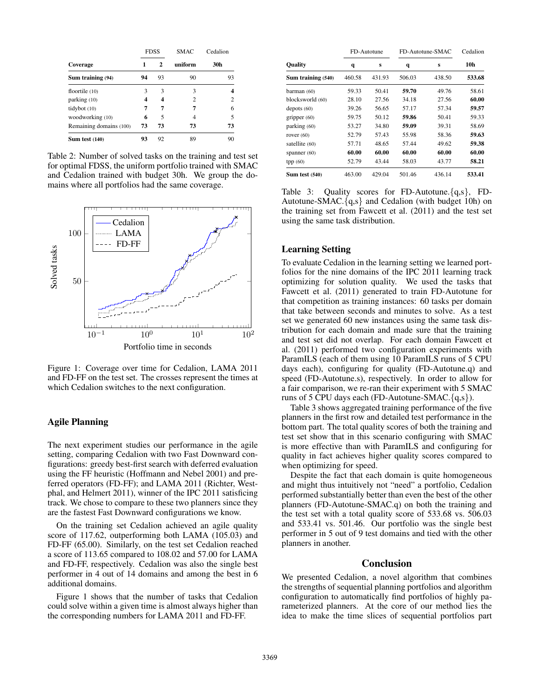|                         | <b>FDSS</b> |    | <b>SMAC</b> | Cedalion |  |
|-------------------------|-------------|----|-------------|----------|--|
| Coverage                | 1           | 2  | uniform     | 30h      |  |
| Sum training (94)       | 94          | 93 | 90          | 93       |  |
| floortile $(10)$        | 3           | 3  | 3           | 4        |  |
| parking (10)            | 4           | 4  | 2           | 2        |  |
| tidybot (10)            | 7           | 7  | 7           | 6        |  |
| woodworking (10)        | 6           | 5  | 4           | 5        |  |
| Remaining domains (100) | 73          | 73 | 73          | 73       |  |
| Sum test $(140)$        | 93          | 92 | 89          | 90       |  |

Table 2: Number of solved tasks on the training and test set for optimal FDSS, the uniform portfolio trained with SMAC and Cedalion trained with budget 30h. We group the domains where all portfolios had the same coverage.



Figure 1: Coverage over time for Cedalion, LAMA 2011 and FD-FF on the test set. The crosses represent the times at which Cedalion switches to the next configuration.

## Agile Planning

The next experiment studies our performance in the agile setting, comparing Cedalion with two Fast Downward configurations: greedy best-first search with deferred evaluation using the FF heuristic (Hoffmann and Nebel 2001) and preferred operators (FD-FF); and LAMA 2011 (Richter, Westphal, and Helmert 2011), winner of the IPC 2011 satisficing track. We chose to compare to these two planners since they are the fastest Fast Downward configurations we know.

On the training set Cedalion achieved an agile quality score of 117.62, outperforming both LAMA (105.03) and FD-FF (65.00). Similarly, on the test set Cedalion reached a score of 113.65 compared to 108.02 and 57.00 for LAMA and FD-FF, respectively. Cedalion was also the single best performer in 4 out of 14 domains and among the best in 6 additional domains.

Figure 1 shows that the number of tasks that Cedalion could solve within a given time is almost always higher than the corresponding numbers for LAMA 2011 and FD-FF.

|                    | FD-Autotune |        | FD-Autotune-SMAC |        | Cedalion |
|--------------------|-------------|--------|------------------|--------|----------|
| <b>Ouality</b>     | q           | s      | q                | s      | 10h      |
| Sum training (540) | 460.58      | 431.93 | 506.03           | 438.50 | 533.68   |
| barman (60)        | 59.33       | 50.41  | 59.70            | 49.76  | 58.61    |
| blocksworld (60)   | 28.10       | 27.56  | 34.18            | 27.56  | 60.00    |
| depots $(60)$      | 39.26       | 56.65  | 57.17            | 57.34  | 59.57    |
| gripper $(60)$     | 59.75       | 50.12  | 59.86            | 50.41  | 59.33    |
| parking (60)       | 53.27       | 34.80  | 59.09            | 39.31  | 58.69    |
| rover $(60)$       | 52.79       | 57.43  | 55.98            | 58.36  | 59.63    |
| satellite (60)     | 57.71       | 48.65  | 57.44            | 49.62  | 59.38    |
| spanner $(60)$     | 60.00       | 60.00  | 60.00            | 60.00  | 60.00    |
| tpp(60)            | 52.79       | 43.44  | 58.03            | 43.77  | 58.21    |
| Sum test $(540)$   | 463.00      | 429.04 | 501.46           | 436.14 | 533.41   |

Table 3: Quality scores for FD-Autotune.{q,s}, FD-Autotune-SMAC. ${q,s}$  and Cedalion (with budget 10h) on the training set from Fawcett et al. (2011) and the test set using the same task distribution.

#### Learning Setting

To evaluate Cedalion in the learning setting we learned portfolios for the nine domains of the IPC 2011 learning track optimizing for solution quality. We used the tasks that Fawcett et al. (2011) generated to train FD-Autotune for that competition as training instances: 60 tasks per domain that take between seconds and minutes to solve. As a test set we generated 60 new instances using the same task distribution for each domain and made sure that the training and test set did not overlap. For each domain Fawcett et al. (2011) performed two configuration experiments with ParamILS (each of them using 10 ParamILS runs of 5 CPU days each), configuring for quality (FD-Autotune.q) and speed (FD-Autotune.s), respectively. In order to allow for a fair comparison, we re-ran their experiment with 5 SMAC runs of 5 CPU days each (FD-Autotune-SMAC. ${q, s}$ ).

Table 3 shows aggregated training performance of the five planners in the first row and detailed test performance in the bottom part. The total quality scores of both the training and test set show that in this scenario configuring with SMAC is more effective than with ParamILS and configuring for quality in fact achieves higher quality scores compared to when optimizing for speed.

Despite the fact that each domain is quite homogeneous and might thus intuitively not "need" a portfolio, Cedalion performed substantially better than even the best of the other planners (FD-Autotune-SMAC.q) on both the training and the test set with a total quality score of 533.68 vs. 506.03 and 533.41 vs. 501.46. Our portfolio was the single best performer in 5 out of 9 test domains and tied with the other planners in another.

## Conclusion

We presented Cedalion, a novel algorithm that combines the strengths of sequential planning portfolios and algorithm configuration to automatically find portfolios of highly parameterized planners. At the core of our method lies the idea to make the time slices of sequential portfolios part